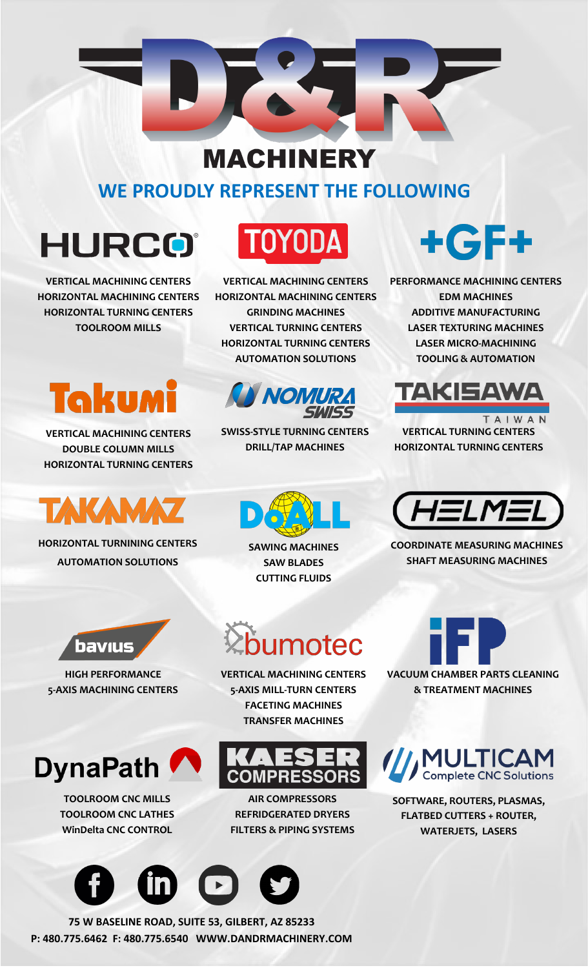#### **MACHINERY**

#### **WE PROUDLY REPRESENT THE FOLLOWING**

### **HURCO**®

**VERTICAL MACHINING CENTERS HORIZONTAL MACHINING CENTERS HORIZONTAL TURNING CENTERS TOOLROOM MILLS**

### 'OYOD

**VERTICAL MACHINING CENTERS HORIZONTAL MACHINING CENTERS GRINDING MACHINES VERTICAL TURNING CENTERS HORIZONTAL TURNING CENTERS AUTOMATION SOLUTIONS**



**SWISS-STYLE TURNING CENTERS DRILL/TAP MACHINES**

# $+$ GF+

**PERFORMANCE MACHINING CENTERS EDM MACHINES ADDITIVE MANUFACTURING LASER TEXTURING MACHINES LASER MICRO-MACHINING TOOLING & AUTOMATION**



TAIWAN **VERTICAL TURNING CENTERS HORIZONTAL TURNING CENTERS**



**COORDINATE MEASURING MACHINES SHAFT MEASURING MACHINES**



/// MULTICAM

**SOFTWARE, ROUTERS, PLASMAS, FLATBED CUTTERS + ROUTER, WATERJETS, LASERS**



**VERTICAL MACHINING CENTERS DOUBLE COLUMN MILLS HORIZONTAL TURNING CENTERS**

## TAKAM

**HORIZONTAL TURNINING CENTERS AUTOMATION SOLUTIONS**



**HIGH PERFORMANCE 5-AXIS MACHINING CENTERS**



**TOOLROOM CNC MILLS TOOLROOM CNC LATHES WinDelta CNC CONTROL**



**75 W BASELINE ROAD, SUITE 53, GILBERT, AZ 85233 P: 480.775.6462 F: 480.775.6540 WWW.DANDRMACHINERY.COM**

**SAWING MACHINES SAW BLADES CUTTING FLUIDS**

# umotec

**VERTICAL MACHINING CENTERS 5-AXIS MILL-TURN CENTERS FACETING MACHINES TRANSFER MACHINES**



**AIR COMPRESSORS REFRIDGERATED DRYERS FILTERS & PIPING SYSTEMS**